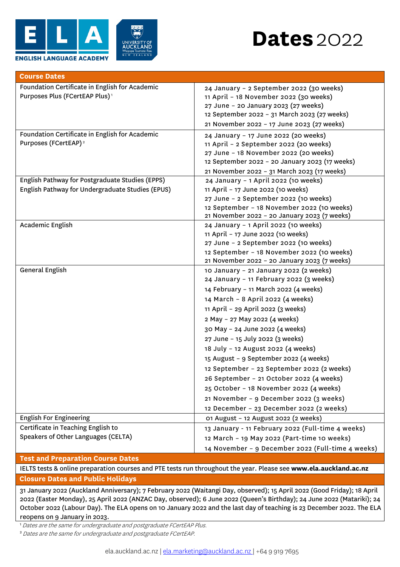

| <b>Course Dates</b>                                                                                 |                                                                                                                                                                                                                                                                                                                                                                                                                                                                                                                                                                                                                           |  |
|-----------------------------------------------------------------------------------------------------|---------------------------------------------------------------------------------------------------------------------------------------------------------------------------------------------------------------------------------------------------------------------------------------------------------------------------------------------------------------------------------------------------------------------------------------------------------------------------------------------------------------------------------------------------------------------------------------------------------------------------|--|
| Foundation Certificate in English for Academic<br>Purposes Plus (FCertEAP Plus) <sup>1</sup>        | 24 January - 2 September 2022 (30 weeks)<br>11 April - 18 November 2022 (30 weeks)<br>27 June - 20 January 2023 (27 weeks)<br>12 September 2022 - 31 March 2023 (27 weeks)<br>21 November 2022 - 17 June 2023 (27 weeks)                                                                                                                                                                                                                                                                                                                                                                                                  |  |
| Foundation Certificate in English for Academic<br>Purposes (FCertEAP) <sup>2</sup>                  | 24 January - 17 June 2022 (20 weeks)<br>11 April - 2 September 2022 (20 weeks)<br>27 June - 18 November 2022 (20 weeks)<br>12 September 2022 - 20 January 2023 (17 weeks)<br>21 November 2022 - 31 March 2023 (17 weeks)                                                                                                                                                                                                                                                                                                                                                                                                  |  |
| English Pathway for Postgraduate Studies (EPPS)<br>English Pathway for Undergraduate Studies (EPUS) | 24 January - 1 April 2022 (10 weeks)<br>11 April - 17 June 2022 (10 weeks)<br>27 June - 2 September 2022 (10 weeks)<br>12 September - 18 November 2022 (10 weeks)<br>21 November 2022 - 20 January 2023 (7 weeks)                                                                                                                                                                                                                                                                                                                                                                                                         |  |
| Academic English                                                                                    | 24 January - 1 April 2022 (10 weeks)<br>11 April - 17 June 2022 (10 weeks)<br>27 June - 2 September 2022 (10 weeks)<br>12 September - 18 November 2022 (10 weeks)<br>21 November 2022 - 20 January 2023 (7 weeks)                                                                                                                                                                                                                                                                                                                                                                                                         |  |
| General English                                                                                     | 10 January - 21 January 2022 (2 weeks)<br>24 January - 11 February 2022 (3 weeks)<br>14 February - 11 March 2022 (4 weeks)<br>14 March - 8 April 2022 (4 weeks)<br>11 April - 29 April 2022 (3 weeks)<br>2 May - 27 May 2022 (4 weeks)<br>30 May - 24 June 2022 (4 weeks)<br>27 June - 15 July 2022 (3 weeks)<br>18 July - 12 August 2022 (4 weeks)<br>15 August - 9 September 2022 (4 weeks)<br>12 September - 23 September 2022 (2 weeks)<br>26 September - 21 October 2022 (4 weeks)<br>25 October - 18 November 2022 (4 weeks)<br>21 November - 9 December 2022 (3 weeks)<br>12 December - 23 December 2022 (2 weeks) |  |
| <b>English For Engineering</b>                                                                      | 01 August - 12 August 2022 (2 weeks)                                                                                                                                                                                                                                                                                                                                                                                                                                                                                                                                                                                      |  |
| Certificate in Teaching English to<br>Speakers of Other Languages (CELTA)                           | 13 January - 11 February 2022 (Full-time 4 weeks)<br>12 March - 19 May 2022 (Part-time 10 weeks)<br>14 November - 9 December 2022 (Full-time 4 weeks)                                                                                                                                                                                                                                                                                                                                                                                                                                                                     |  |

## **Test and Preparation Course Dates**

IELTS tests & online preparation courses and PTE tests run throughout the year. Please see **[www.ela.auckland.ac.nz](http://www.ela.auckland.ac.nz/) Closure Dates and Public Holidays**

31 January 2022 (Auckland Anniversary); 7 February 2022 (Waitangi Day, observed); 15 April 2022 (Good Friday); 18 April 2022 (Easter Monday), 25 April 2022 (ANZAC Day, observed); 6 June 2022 (Queen's Birthday); 24 June 2022 (Matariki); 24 October 2022 (Labour Day). The ELA opens on 10 January 2022 and the last day of teaching is 23 December 2022. The ELA reopens on 9 January in 2023.

<sup>1</sup> Dates are the same for undergraduate and postgraduate FCertEAP Plus.

<sup>2</sup>Dates are the same for undergraduate and postgraduate FCertEAP.